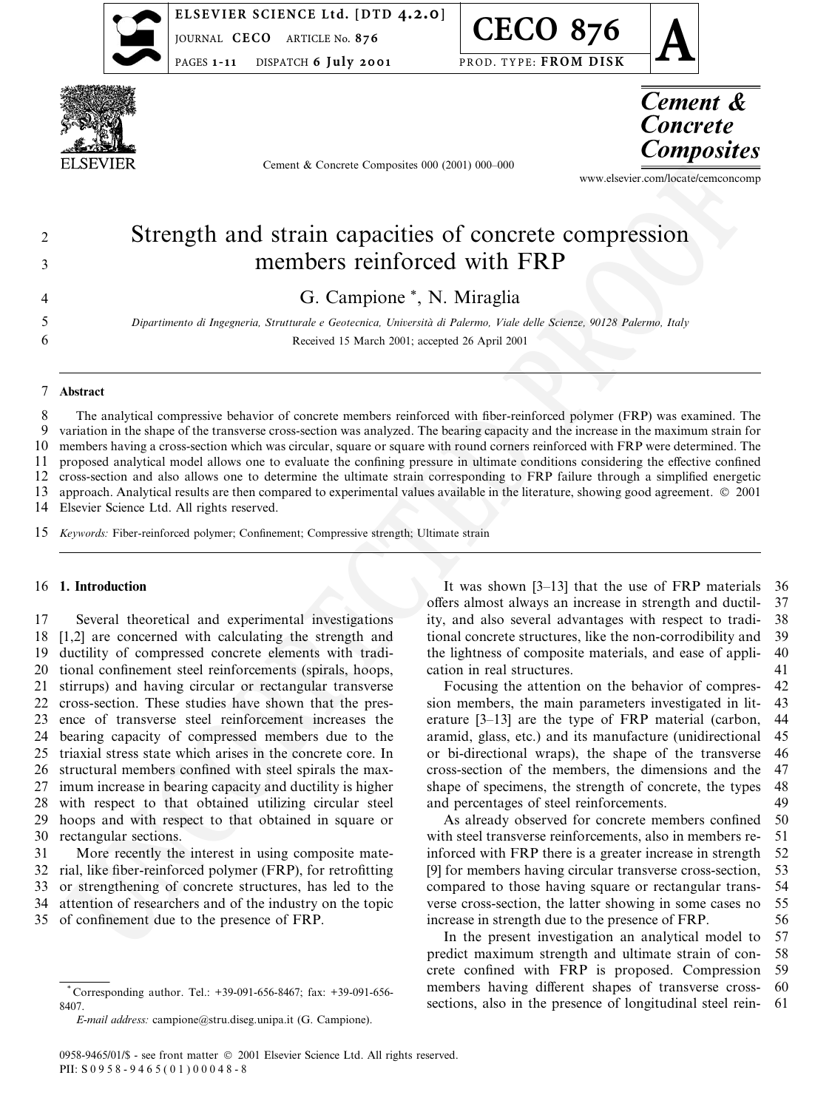

ELSEVIER SCIENCE Ltd. [DTD 4.2.0] **IOURNAL CECO** ARTICLE No. 876 **PAGES 1-11** DISPATCH 6 July 2001

**CECO 876** PROD. TYPE: FROM DISK



Cement & Concrete Composites 000 (2001) 000-000



www.elsevier.com/locate/cemconcomp

# Strength and strain capacities of concrete compression members reinforced with FRP

G. Campione \*, N. Miraglia

Dipartimento di Ingegneria, Strutturale e Geotecnica, Università di Palermo, Viale delle Scienze, 90128 Palermo, Italy Received 15 March 2001; accepted 26 April 2001

#### $\overline{7}$ Abstract

 $\overline{2}$ 

 $\overline{\mathcal{E}}$ 

 $\overline{4}$ 5

6

8 The analytical compressive behavior of concrete members reinforced with fiber-reinforced polymer (FRP) was examined. The  $\mathbf{Q}$ variation in the shape of the transverse cross-section was analyzed. The bearing capacity and the increase in the maximum strain for  $10$ members having a cross-section which was circular, square or square with round corners reinforced with FRP were determined. The proposed analytical model allows one to evaluate the confining pressure in ultimate conditions considering the effective confined  $11$ 12 cross-section and also allows one to determine the ultimate strain corresponding to FRP failure through a simplified energetic 13 approach. Analytical results are then compared to experimental values available in the literature, showing good agreement. © 2001 14 Elsevier Science Ltd. All rights reserved.

 $15$ Keywords: Fiber-reinforced polymer; Confinement; Compressive strength; Ultimate strain

#### 1. Introduction 16

 $17$ Several theoretical and experimental investigations [1,2] are concerned with calculating the strength and 18 19 ductility of compressed concrete elements with tradi-20 tional confinement steel reinforcements (spirals, hoops, stirrups) and having circular or rectangular transverse 21 22 cross-section. These studies have shown that the pres-23 ence of transverse steel reinforcement increases the 24 bearing capacity of compressed members due to the 25 triaxial stress state which arises in the concrete core. In structural members confined with steel spirals the max-26 27 imum increase in bearing capacity and ductility is higher with respect to that obtained utilizing circular steel 28 29 hoops and with respect to that obtained in square or  $30$ rectangular sections.

31 More recently the interest in using composite mate-32 rial, like fiber-reinforced polymer (FRP), for retrofitting 33 or strengthening of concrete structures, has led to the 34 attention of researchers and of the industry on the topic 35 of confinement due to the presence of FRP.

It was shown [3-13] that the use of FRP materials 36 offers almost always an increase in strength and ductil-37 ity, and also several advantages with respect to tradi-38 tional concrete structures, like the non-corrodibility and 39 the lightness of composite materials, and ease of appli-40 cation in real structures. 41

Focusing the attention on the behavior of compres-42 sion members, the main parameters investigated in lit- $43$ erature [3-13] are the type of FRP material (carbon, 44 aramid, glass, etc.) and its manufacture (unidirectional 45 or bi-directional wraps), the shape of the transverse 46 cross-section of the members, the dimensions and the 47 shape of specimens, the strength of concrete, the types 48 and percentages of steel reinforcements. 49

As already observed for concrete members confined 50 with steel transverse reinforcements, also in members re- $51$ inforced with FRP there is a greater increase in strength 52 [9] for members having circular transverse cross-section, 53 compared to those having square or rectangular trans-54 verse cross-section, the latter showing in some cases no 55 increase in strength due to the presence of FRP. 56

In the present investigation an analytical model to 57 predict maximum strength and ultimate strain of con-58 crete confined with FRP is proposed. Compression 59 members having different shapes of transverse cross-60 sections, also in the presence of longitudinal steel rein-61

Corresponding author. Tel.: +39-091-656-8467; fax: +39-091-656-8407

E-mail address: campione@stru.diseg.unipa.it (G. Campione).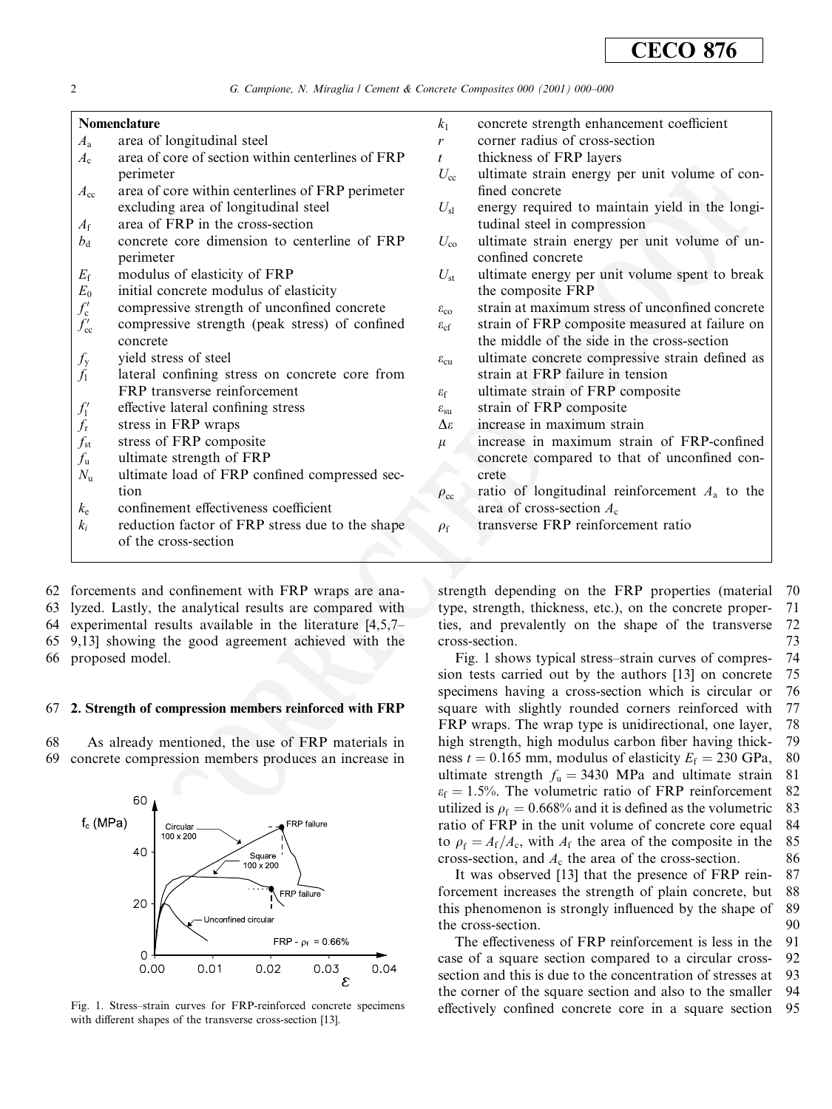G. Campione, N. Miraglia / Cement & Concrete Composites 000 (2001) 000-000

#### **Nomenclature**

- $A_{\rm a}$ area of longitudinal steel
- area of core of section within centerlines of FRP  $A_{c}$ perimeter
- area of core within centerlines of FRP perimeter  $A_{cc}$ excluding area of longitudinal steel
- $A_{\rm f}$ area of FRP in the cross-section
- concrete core dimension to centerline of FRP  $b_{\rm d}$ nerimeter
- $E_{\rm f}$ modulus of elasticity of FRP
- $E_0$ initial concrete modulus of elasticity
- compressive strength of unconfined concrete
- $f'_{\rm c}$ <br> $f'_{\rm cc}$ compressive strength (peak stress) of confined concrete
- $f_{y}$ vield stress of steel
- $f_1$ lateral confining stress on concrete core from FRP transverse reinforcement
- $f_1'$ effective lateral confining stress
- $f_{\rm r}$ stress in FRP wraps
- stress of FRP composite  $f_{\rm st}$
- ultimate strength of FRP  $f_{\rm u}$
- $N_{\rm u}$ ultimate load of FRP confined compressed section
- $k_{\rm e}$ confinement effectiveness coefficient
- reduction factor of FRP stress due to the shape  $k_i$ of the cross-section

62 forcements and confinement with FRP wraps are ana-63 lyzed. Lastly, the analytical results are compared with experimental results available in the literature  $[4,5,7]$ 64 9,13] showing the good agreement achieved with the 65

66 proposed model.

### 67 2. Strength of compression members reinforced with FRP

68 As already mentioned, the use of FRP materials in 69 concrete compression members produces an increase in



Fig. 1. Stress-strain curves for FRP-reinforced concrete specimens with different shapes of the transverse cross-section [13].

| k1 | concrete strength enhancement coefficient |
|----|-------------------------------------------|
|----|-------------------------------------------|

- corner radius of cross-section  $\mathbf{r}$
- thickness of FRP layers  $\boldsymbol{t}$
- $U_{\rm cc}$ ultimate strain energy per unit volume of confined concrete
- $U_{\rm sl}$ energy required to maintain yield in the longitudinal steel in compression
- ultimate strain energy per unit volume of un- $U_{\rm co}$ confined concrete
- ultimate energy per unit volume spent to break  $U_{\rm st}$ the composite FRP
- strain at maximum stress of unconfined concrete  $\varepsilon_{\rm co}$
- strain of FRP composite measured at failure on  $\mathcal{E}_{cf}$ the middle of the side in the cross-section
- $\mathcal{E}_{\texttt{CU}}$ ultimate concrete compressive strain defined as strain at FRP failure in tension
- $\varepsilon_{\rm f}$ ultimate strain of FRP composite
- strain of FRP composite  $\varepsilon_{\rm su}$
- increase in maximum strain  $Δε$
- increase in maximum strain of FRP-confined  $\mu$ concrete compared to that of unconfined concrete
- ratio of longitudinal reinforcement  $A<sub>a</sub>$  to the  $\rho_{\rm cc}$ area of cross-section  $A_c$
- transverse FRP reinforcement ratio  $\rho_{\rm f}$

strength depending on the FRP properties (material 70 type, strength, thickness, etc.), on the concrete proper-71 ties, and prevalently on the shape of the transverse 72 73 cross-section.

Fig. 1 shows typical stress-strain curves of compres-74 sion tests carried out by the authors [13] on concrete 75 specimens having a cross-section which is circular or 76 77 square with slightly rounded corners reinforced with FRP wraps. The wrap type is unidirectional, one layer, 78 high strength, high modulus carbon fiber having thick-79 ness  $t = 0.165$  mm, modulus of elasticity  $E_f = 230$  GPa, 80 ultimate strength  $f_u = 3430$  MPa and ultimate strain 81  $\varepsilon_f = 1.5\%$ . The volumetric ratio of FRP reinforcement  $82$ utilized is  $\rho_f = 0.668\%$  and it is defined as the volumetric 83 ratio of FRP in the unit volume of concrete core equal 84 to  $\rho_f = A_f/A_c$ , with  $A_f$  the area of the composite in the 85 cross-section, and  $A_c$  the area of the cross-section. 86

It was observed [13] that the presence of FRP rein-87 forcement increases the strength of plain concrete, but 88 this phenomenon is strongly influenced by the shape of 89 the cross-section. 90

The effectiveness of FRP reinforcement is less in the 91 case of a square section compared to a circular cross-92 section and this is due to the concentration of stresses at 93 the corner of the square section and also to the smaller 94 effectively confined concrete core in a square section 95

 $\overline{2}$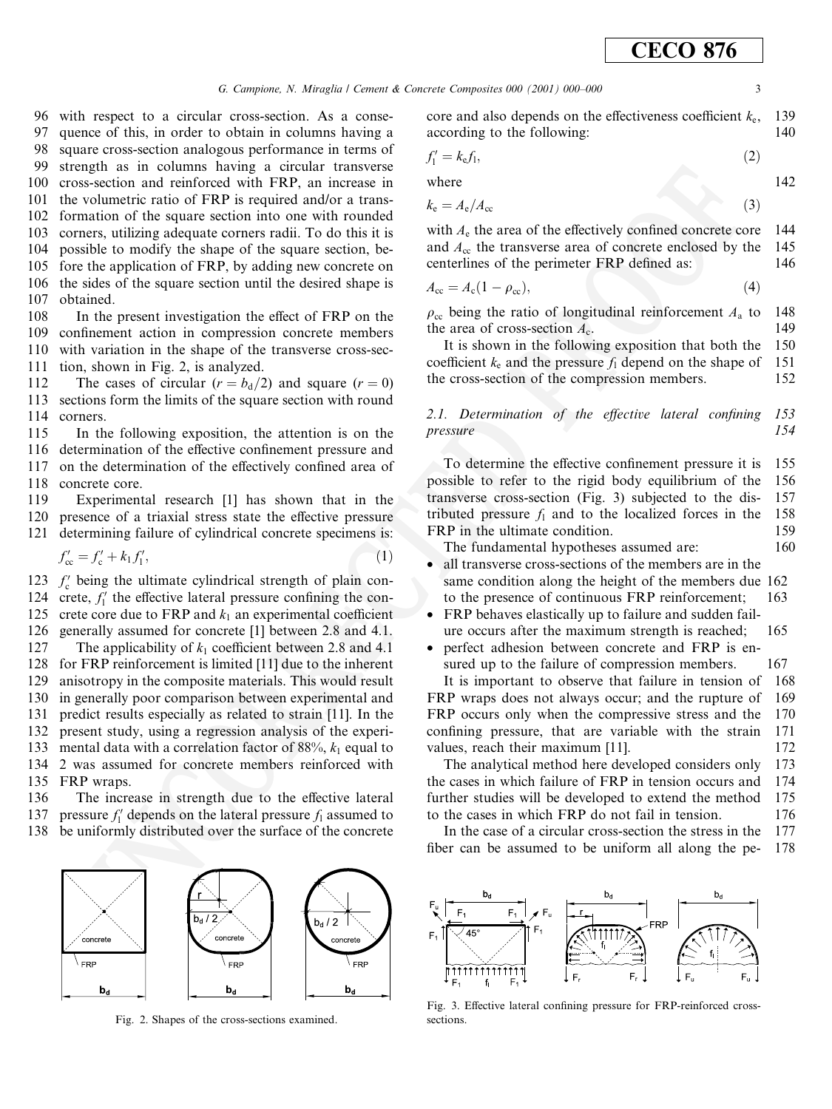G. Campione, N. Miraglia / Cement & Concrete Composites 000 (2001) 000-000

96 with respect to a circular cross-section. As a conse-97 quence of this, in order to obtain in columns having a

98 square cross-section analogous performance in terms of

99 strength as in columns having a circular transverse cross-section and reinforced with FRP, an increase in 100

the volumetric ratio of FRP is required and/or a trans-101 formation of the square section into one with rounded 102 103 corners, utilizing adequate corners radii. To do this it is 104 possible to modify the shape of the square section, be-105 fore the application of FRP, by adding new concrete on the sides of the square section until the desired shape is 106 107 obtained.

108 In the present investigation the effect of FRP on the 109 confinement action in compression concrete members 110 with variation in the shape of the transverse cross-sec-111 tion, shown in Fig. 2, is analyzed.

112 The cases of circular  $(r = b_d/2)$  and square  $(r = 0)$ sections form the limits of the square section with round 113 114 corners.

115 In the following exposition, the attention is on the determination of the effective confinement pressure and 116 on the determination of the effectively confined area of 117 118 concrete core.

119 Experimental research [1] has shown that in the 120 presence of a triaxial stress state the effective pressure 121 determining failure of cylindrical concrete specimens is:

$$
f'_{\infty} = f'_{\infty} + k_1 f'_{1}, \tag{1}
$$

123  $f_c'$  being the ultimate cylindrical strength of plain concrete,  $f_1'$  the effective lateral pressure confining the con-124 crete core due to FRP and  $k_1$  an experimental coefficient 125 126 generally assumed for concrete [1] between 2.8 and 4.1. 127 The applicability of  $k_1$  coefficient between 2.8 and 4.1 128 for FRP reinforcement is limited [11] due to the inherent 129 anisotropy in the composite materials. This would result 130 in generally poor comparison between experimental and predict results especially as related to strain [11]. In the 131 132 present study, using a regression analysis of the experimental data with a correlation factor of 88%,  $k_1$  equal to 133 2 was assumed for concrete members reinforced with 134 135 FRP wraps.

136 The increase in strength due to the effective lateral 137 pressure  $f_1'$  depends on the lateral pressure  $f_1$  assumed to 138 be uniformly distributed over the surface of the concrete



Fig. 2. Shapes of the cross-sections examined.

core and also depends on the effectiveness coefficient  $k_{e}$ , 139 according to the following: 140

$$
f_1' = k_{\rm e} f_1,\tag{2}
$$

where 
$$
\frac{1}{2} \left( \frac{1}{2} \right)
$$

$$
k_{\rm e} = A_{\rm e}/A_{\rm cc} \tag{3}
$$

with  $A<sub>e</sub>$  the area of the effectively confined concrete core 144 145 and  $A_{\rm cc}$  the transverse area of concrete enclosed by the centerlines of the perimeter FRP defined as: 146

$$
A_{\rm cc} = A_{\rm c}(1 - \rho_{\rm cc}),\tag{4}
$$

148  $\rho_{\rm cc}$  being the ratio of longitudinal reinforcement  $A_{\rm a}$  to the area of cross-section  $A_c$ . 149

It is shown in the following exposition that both the 150 coefficient  $k_e$  and the pressure  $f_1$  depend on the shape of 151 the cross-section of the compression members. 152

2.1. Determination of the effective lateral confining 153 154 pressure

To determine the effective confinement pressure it is 155 possible to refer to the rigid body equilibrium of the 156 157 transverse cross-section (Fig. 3) subjected to the distributed pressure  $f_1$  and to the localized forces in the 158 FRP in the ultimate condition. 159 160

The fundamental hypotheses assumed are:

- $\bullet$ all transverse cross-sections of the members are in the same condition along the height of the members due 162 to the presence of continuous FRP reinforcement; 163
- $\bullet$ FRP behaves elastically up to failure and sudden failure occurs after the maximum strength is reached; 165
- $\bullet$ perfect adhesion between concrete and FRP is ensured up to the failure of compression members. 167

It is important to observe that failure in tension of 168 FRP wraps does not always occur; and the rupture of 169 FRP occurs only when the compressive stress and the 170 confining pressure, that are variable with the strain 171 values, reach their maximum [11]. 172

The analytical method here developed considers only 173 the cases in which failure of FRP in tension occurs and 174 further studies will be developed to extend the method 175 to the cases in which FRP do not fail in tension. 176

In the case of a circular cross-section the stress in the 177 fiber can be assumed to be uniform all along the pe-178



Fig. 3. Effective lateral confining pressure for FRP-reinforced crosssections

 $\overline{\mathbf{3}}$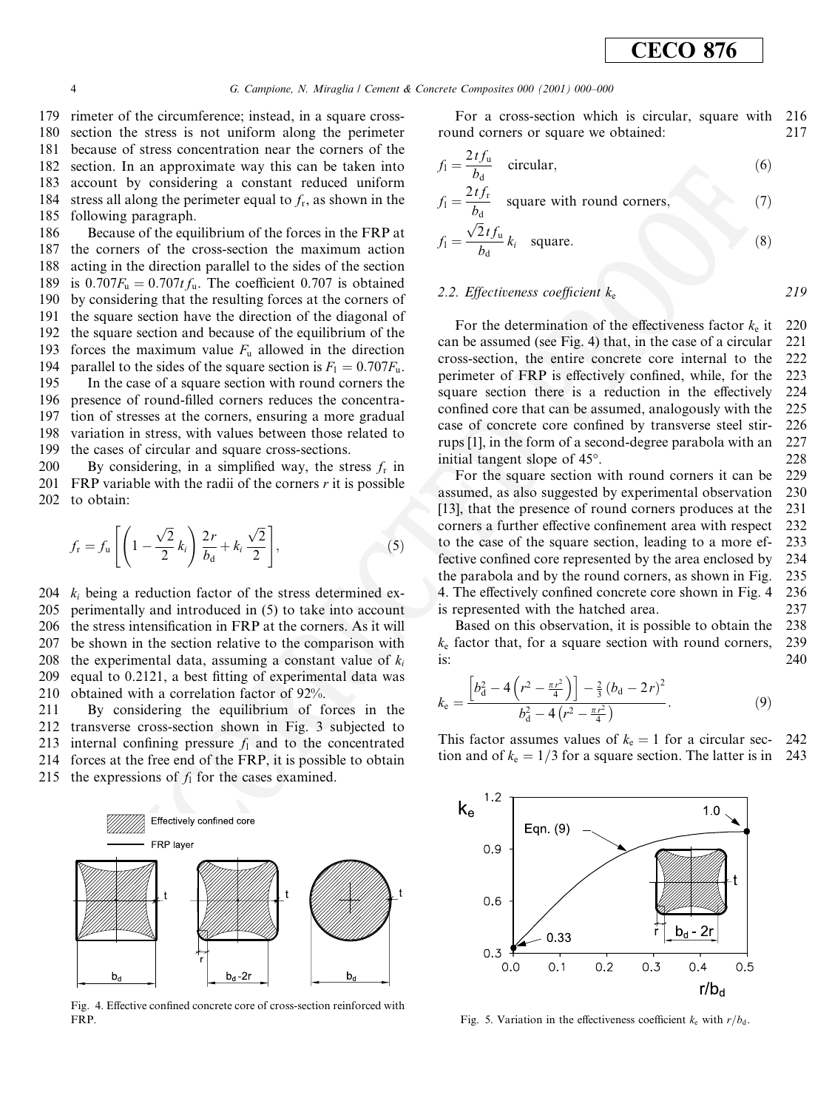219

179 rimeter of the circumference; instead, in a square cross-180 section the stress is not uniform along the perimeter 181 because of stress concentration near the corners of the 182 section. In an approximate way this can be taken into account by considering a constant reduced uniform 183 stress all along the perimeter equal to  $f_r$ , as shown in the 184 following paragraph. 185

186 Because of the equilibrium of the forces in the FRP at 187 the corners of the cross-section the maximum action 188 acting in the direction parallel to the sides of the section is  $0.707F_u = 0.707t f_u$ . The coefficient 0.707 is obtained 189 by considering that the resulting forces at the corners of 190 the square section have the direction of the diagonal of 191 the square section and because of the equilibrium of the 192 193 forces the maximum value  $F_u$  allowed in the direction parallel to the sides of the square section is  $F_1 = 0.707F_u$ . 194

195 In the case of a square section with round corners the 196 presence of round-filled corners reduces the concentration of stresses at the corners, ensuring a more gradual 197 198 variation in stress, with values between those related to 199 the cases of circular and square cross-sections.

200 By considering, in a simplified way, the stress  $f_r$  in 201 FRP variable with the radii of the corners  $r$  it is possible 202 to obtain:

$$
f_{\rm r} = f_{\rm u} \left[ \left( 1 - \frac{\sqrt{2}}{2} k_i \right) \frac{2r}{b_{\rm d}} + k_i \frac{\sqrt{2}}{2} \right],\tag{5}
$$

 $k_i$  being a reduction factor of the stress determined ex-204 perimentally and introduced in (5) to take into account 205 206 the stress intensification in FRP at the corners. As it will 207 be shown in the section relative to the comparison with 208 the experimental data, assuming a constant value of  $k_i$ equal to 0.2121, a best fitting of experimental data was 209 210 obtained with a correlation factor of 92%.

211 By considering the equilibrium of forces in the 212 transverse cross-section shown in Fig. 3 subjected to 213 internal confining pressure  $f_1$  and to the concentrated 214 forces at the free end of the FRP, it is possible to obtain 215 the expressions of  $f_1$  for the cases examined.



Fig. 4. Effective confined concrete core of cross-section reinforced with FRP.

For a cross-section which is circular, square with 216 round corners or square we obtained: 217

$$
f_1 = \frac{2tf_u}{b_d} \quad \text{circular}, \tag{6}
$$

$$
f_1 = \frac{2t f_r}{b_d} \quad \text{square with round corners}, \tag{7}
$$

$$
f_1 = \frac{\sqrt{2}tf_u}{b_d}k_i \quad \text{square.} \tag{8}
$$

#### 2.2. Effectiveness coefficient  $k_e$

For the determination of the effectiveness factor  $k_e$  it 220 can be assumed (see Fig. 4) that, in the case of a circular 221 cross-section, the entire concrete core internal to the 222 perimeter of FRP is effectively confined, while, for the 223 square section there is a reduction in the effectively 224 confined core that can be assumed, analogously with the 225 case of concrete core confined by transverse steel stir-226 rups [1], in the form of a second-degree parabola with an 227 initial tangent slope of 45°. 228

For the square section with round corners it can be 229 assumed, as also suggested by experimental observation 230 [13], that the presence of round corners produces at the 231 corners a further effective confinement area with respect 232 233 to the case of the square section, leading to a more effective confined core represented by the area enclosed by 234 the parabola and by the round corners, as shown in Fig. 235 4. The effectively confined concrete core shown in Fig. 4 236 is represented with the hatched area. 237

Based on this observation, it is possible to obtain the 238  $k<sub>e</sub>$  factor that, for a square section with round corners, 239 is: 240

$$
k_{\rm e} = \frac{\left[b_{\rm d}^2 - 4\left(r^2 - \frac{\pi r^2}{4}\right)\right] - \frac{2}{3}\left(b_{\rm d} - 2r\right)^2}{b_{\rm d}^2 - 4\left(r^2 - \frac{\pi r^2}{4}\right)}.
$$
(9)

This factor assumes values of  $k_e = 1$  for a circular sec-242 tion and of  $k_e = 1/3$  for a square section. The latter is in 243



Fig. 5. Variation in the effectiveness coefficient  $k_e$  with  $r/b_d$ .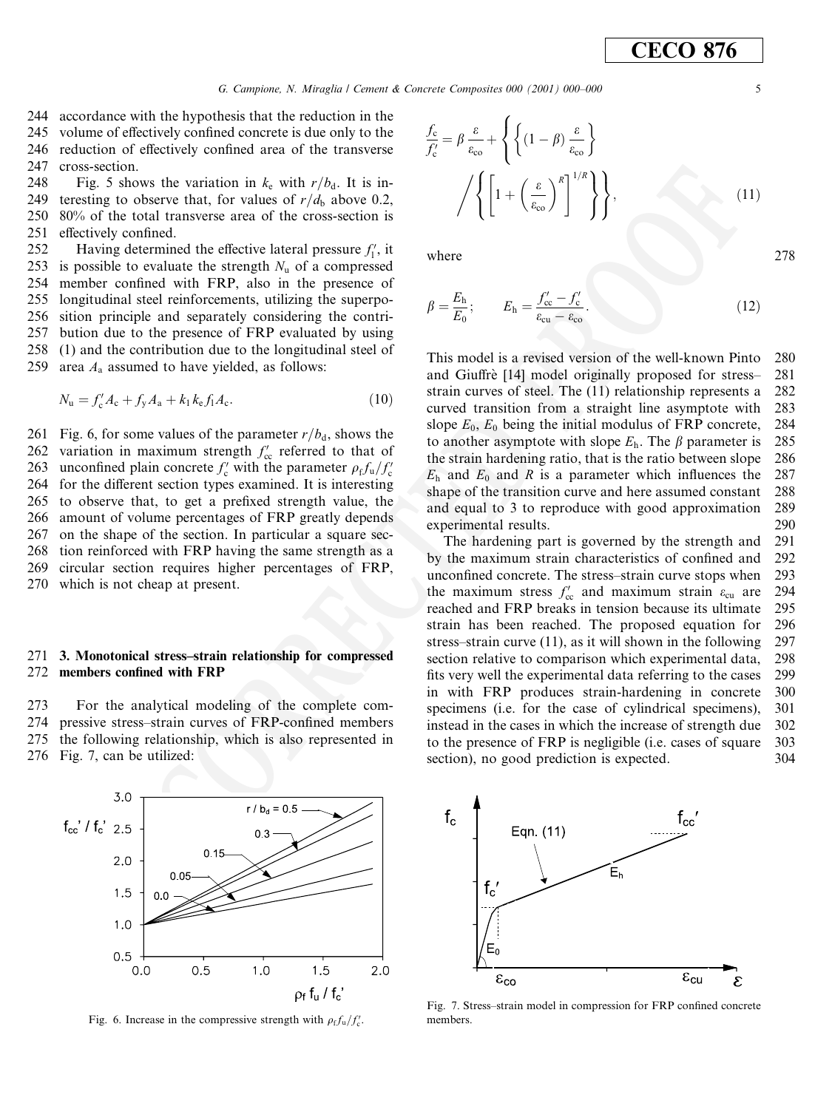244 accordance with the hypothesis that the reduction in the 245 volume of effectively confined concrete is due only to the 246 reduction of effectively confined area of the transverse 247 cross-section.

248 Fig. 5 shows the variation in  $k_e$  with  $r/b_d$ . It is interesting to observe that, for values of  $r/d_b$  above 0.2, 249 250  $80\%$  of the total transverse area of the cross-section is 251 effectively confined.

252 Having determined the effective lateral pressure  $f_1'$ , it 253 is possible to evaluate the strength  $N_u$  of a compressed 254 member confined with FRP, also in the presence of 255 longitudinal steel reinforcements, utilizing the superposition principle and separately considering the contri-256 257 bution due to the presence of FRP evaluated by using 258 (1) and the contribution due to the longitudinal steel of 259 area  $A_a$  assumed to have yielded, as follows:

$$
N_{\rm u} = f_{\rm c}' A_{\rm c} + f_{\rm y} A_{\rm a} + k_1 k_{\rm e} f_{\rm l} A_{\rm c}.
$$
 (10)

Fig. 6, for some values of the parameter  $r/b_d$ , shows the 261 variation in maximum strength  $f'_{\rm cc}$  referred to that of 262 unconfined plain concrete  $f'_c$  with the parameter  $\rho_f f_u / f'_c$ 263 for the different section types examined. It is interesting 264 265 to observe that, to get a prefixed strength value, the 266 amount of volume percentages of FRP greatly depends 267 on the shape of the section. In particular a square sec-268 tion reinforced with FRP having the same strength as a circular section requires higher percentages of FRP, 269 270 which is not cheap at present.

#### 3. Monotonical stress-strain relationship for compressed 271 members confined with FRP 272

 $273$ For the analytical modeling of the complete com-274 pressive stress-strain curves of FRP-confined members 275 the following relationship, which is also represented in 276 Fig. 7, can be utilized:



Fig. 6. Increase in the compressive strength with  $\rho_f f_u/f_c'$ .

$$
\frac{f_c}{f_c'} = \beta \frac{\varepsilon}{\varepsilon_{\rm co}} + \left\{ \left\{ (1 - \beta) \frac{\varepsilon}{\varepsilon_{\rm co}} \right\} + \left\{ \left[ 1 + \left( \frac{\varepsilon}{\varepsilon_{\rm co}} \right)^R \right]^{1/R} \right\} \right\},\tag{11}
$$

where

$$
\beta = \frac{E_{\rm h}}{E_0}; \qquad E_{\rm h} = \frac{f'_{\rm cc} - f'_{\rm c}}{\varepsilon_{\rm cu} - \varepsilon_{\rm co}}.
$$
 (12)

This model is a revised version of the well-known Pinto 280 and Giuffrè [14] model originally proposed for stress-281 strain curves of steel. The (11) relationship represents a 282 curved transition from a straight line asymptote with 283 slope  $E_0$ ,  $E_0$  being the initial modulus of FRP concrete, 284 to another asymptote with slope  $E_h$ . The  $\beta$  parameter is 285 the strain hardening ratio, that is the ratio between slope 286  $E<sub>h</sub>$  and  $E<sub>0</sub>$  and R is a parameter which influences the 287 shape of the transition curve and here assumed constant 288 and equal to 3 to reproduce with good approximation 289 experimental results. 290

The hardening part is governed by the strength and 291 by the maximum strain characteristics of confined and 292 unconfined concrete. The stress-strain curve stops when 293 the maximum stress  $f'_{\rm cc}$  and maximum strain  $\varepsilon_{\rm cu}$  are 294 295 reached and FRP breaks in tension because its ultimate 296 strain has been reached. The proposed equation for stress-strain curve  $(11)$ , as it will shown in the following 297 section relative to comparison which experimental data, 298 fits very well the experimental data referring to the cases 299 in with FRP produces strain-hardening in concrete 300 specimens (i.e. for the case of cylindrical specimens), 301 instead in the cases in which the increase of strength due 302 to the presence of FRP is negligible (*i.e.* cases of square 303 section), no good prediction is expected.  $304$ 



Fig. 7. Stress-strain model in compression for FRP confined concrete members

5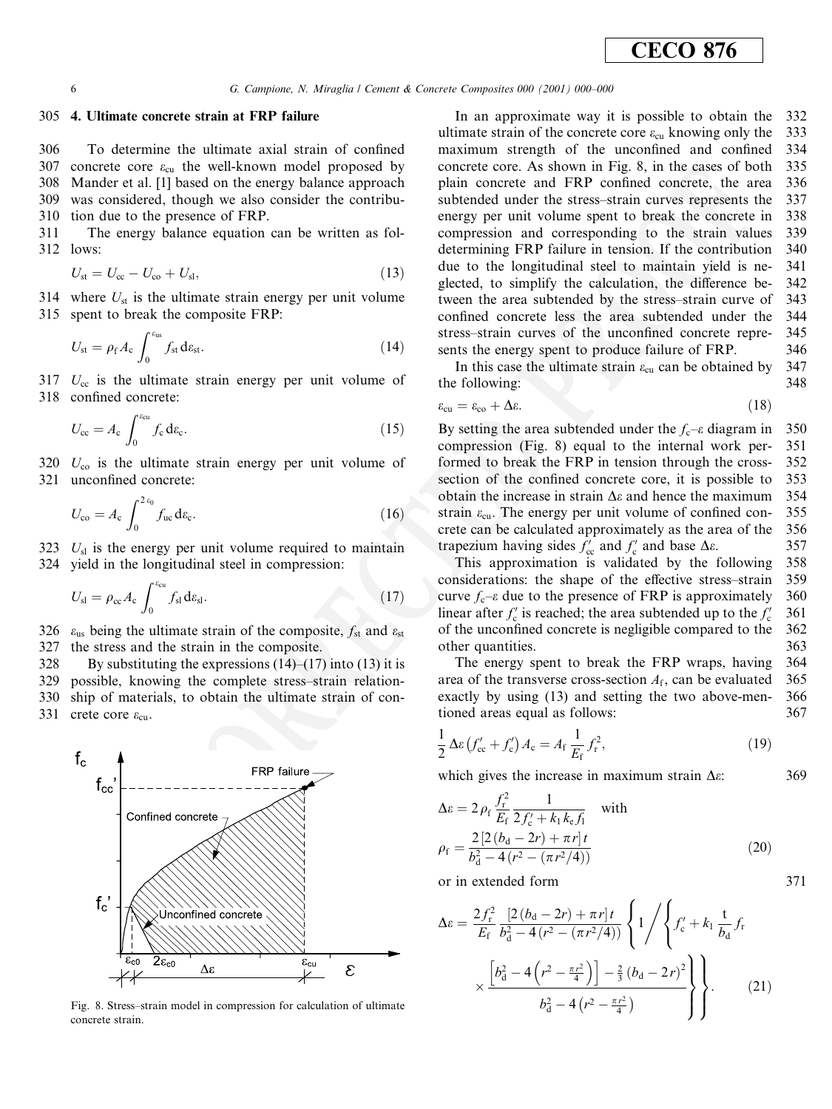#### 305 4. Ultimate concrete strain at FRP failure

306 To determine the ultimate axial strain of confined 307 concrete core  $\varepsilon_{\rm cu}$  the well-known model proposed by 308 Mander et al. [1] based on the energy balance approach was considered, though we also consider the contribu-309 310 tion due to the presence of FRP.

311 The energy balance equation can be written as fol-312 lows:

$$
U_{\rm st} = U_{\rm cc} - U_{\rm co} + U_{\rm sl},\tag{13}
$$

314 where  $U_{st}$  is the ultimate strain energy per unit volume 315 spent to break the composite FRP:

$$
U_{\rm st} = \rho_{\rm f} A_{\rm c} \int_0^{\varepsilon_{\rm us}} f_{\rm st} d\varepsilon_{\rm st}.
$$
 (14)

317  $U_{\rm cc}$  is the ultimate strain energy per unit volume of 318 confined concrete:

$$
U_{\rm cc} = A_{\rm c} \int_0^{\varepsilon_{\rm cu}} f_{\rm c} \, \mathrm{d}\varepsilon_{\rm c}.\tag{15}
$$

320  $U_{\rm co}$  is the ultimate strain energy per unit volume of 321 unconfined concrete:

$$
U_{\rm co} = A_{\rm c} \int_0^{2z_0} f_{\rm uc} \, \mathrm{d}\varepsilon_{\rm c}.\tag{16}
$$

323  $U_{sl}$  is the energy per unit volume required to maintain 324 yield in the longitudinal steel in compression:

$$
U_{\rm sl} = \rho_{\rm cc} A_{\rm c} \int_0^{e_{\rm cu}} f_{\rm sl} d\varepsilon_{\rm sl}.
$$
 (17)

326  $\varepsilon_{us}$  being the ultimate strain of the composite,  $f_{st}$  and  $\varepsilon_{st}$ 327 the stress and the strain in the composite.

328 By substituting the expressions  $(14)$ – $(17)$  into  $(13)$  it is 329 possible, knowing the complete stress-strain relationship of materials, to obtain the ultimate strain of con-330 331 crete core  $\varepsilon_{\text{cu}}$ .



Fig. 8. Stress-strain model in compression for calculation of ultimate concrete strain

In an approximate way it is possible to obtain the 332 ultimate strain of the concrete core  $\varepsilon_{\rm cu}$  knowing only the 333 maximum strength of the unconfined and confined 334 concrete core. As shown in Fig. 8, in the cases of both 335 plain concrete and FRP confined concrete, the area 336 subtended under the stress-strain curves represents the 337 energy per unit volume spent to break the concrete in 338 compression and corresponding to the strain values 339 determining FRP failure in tension. If the contribution 340 due to the longitudinal steel to maintain yield is ne-341 glected, to simplify the calculation, the difference be-342 tween the area subtended by the stress-strain curve of 343 confined concrete less the area subtended under the 344 stress-strain curves of the unconfined concrete repre-345 sents the energy spent to produce failure of FRP. 346

In this case the ultimate strain  $\varepsilon_{\rm cu}$  can be obtained by 347 348 the following:

$$
\varepsilon_{\rm cu} = \varepsilon_{\rm co} + \Delta \varepsilon. \tag{18}
$$

350 By setting the area subtended under the  $f_c$ - $\varepsilon$  diagram in compression (Fig. 8) equal to the internal work per-351 formed to break the FRP in tension through the cross-352 353 section of the confined concrete core, it is possible to obtain the increase in strain  $\Delta \varepsilon$  and hence the maximum 354 355 strain  $\varepsilon_{\rm cu}$ . The energy per unit volume of confined concrete can be calculated approximately as the area of the 356 trapezium having sides  $f'_{\rm cc}$  and  $f'_{\rm c}$  and base  $\Delta \varepsilon$ . 357

This approximation is validated by the following 358 considerations: the shape of the effective stress-strain 359 curve  $f_c$ - $\varepsilon$  due to the presence of FRP is approximately 360 linear after  $f'_c$  is reached; the area subtended up to the  $f'_c$ 361 of the unconfined concrete is negligible compared to the 362 other quantities. 363

The energy spent to break the FRP wraps, having 364 area of the transverse cross-section  $A_f$ , can be evaluated 365 exactly by using (13) and setting the two above-men-366 tioned areas equal as follows: 367

$$
\frac{1}{2}\Delta\varepsilon \left(f'_{\rm cc} + f'_{\rm c}\right)A_{\rm c} = A_{\rm f}\frac{1}{E_{\rm f}}f_{\rm r}^2,\tag{19}
$$

369

371

which gives the increase in maximum strain  $\Delta \varepsilon$ :

$$
\Delta \varepsilon = 2 \rho_{\rm f} \frac{f_{\rm r}^2}{E_{\rm f}} \frac{1}{2 f_{\rm c}' + k_1 k_{\rm e} f_1} \quad \text{with}
$$
  

$$
\rho_{\rm f} = \frac{2 \left[ 2 \left( b_{\rm d} - 2r \right) + \pi r \right] t}{b_{\rm d}^2 - 4 \left( r^2 - \left( \pi r^2 / 4 \right) \right)} \tag{20}
$$

or in extended form

$$
\Delta \varepsilon = \frac{2f_r^2}{E_f} \frac{\left[2(b_d - 2r) + \pi r\right]t}{b_d^2 - 4(r^2 - (\pi r^2/4))} \left\{1/\left\{f_c' + k_1 \frac{t}{b_d} f_r\right\} \times \frac{\left[b_d^2 - 4\left(r^2 - \frac{\pi r^2}{4}\right)\right] - \frac{2}{3} (b_d - 2r)^2}{b_d^2 - 4\left(r^2 - \frac{\pi r^2}{4}\right)}\right\}.
$$
 (21)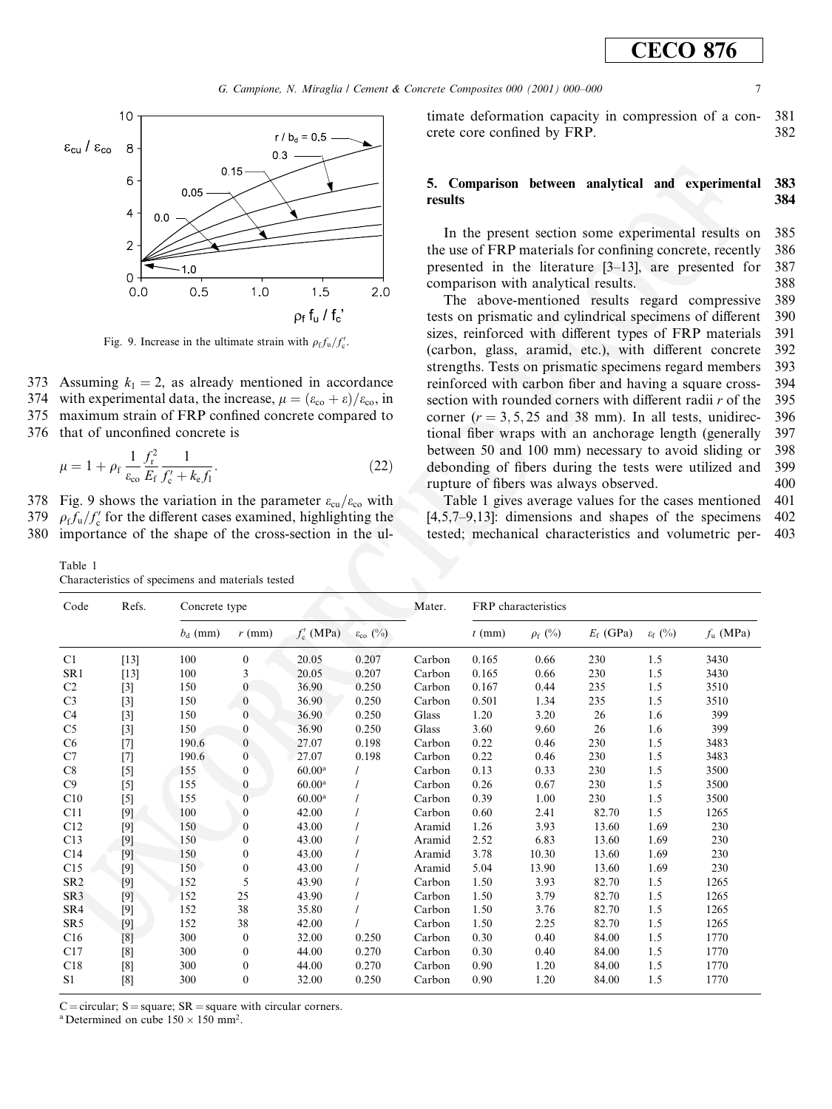G. Campione, N. Miraglia / Cement & Concrete Composites 000 (2001) 000-000



Fig. 9. Increase in the ultimate strain with  $\rho_f f_u / f_c'$ .

373 Assuming  $k_1 = 2$ , as already mentioned in accordance 374 with experimental data, the increase,  $\mu = (\varepsilon_{\rm co} + \varepsilon)/\varepsilon_{\rm co}$ , in maximum strain of FRP confined concrete compared to 375 376 that of unconfined concrete is

$$
\mu = 1 + \rho_{\rm f} \frac{1}{\varepsilon_{\rm co}} \frac{f_{\rm r}^2}{E_{\rm f}} \frac{1}{f_{\rm c}' + k_{\rm e} f_{\rm i}}.
$$
 (22)

378 Fig. 9 shows the variation in the parameter  $\varepsilon_{cu}/\varepsilon_{co}$  with 379  $\rho_{\rm f} f_{\rm u}/f_{\rm c}$  for the different cases examined, highlighting the 380 importance of the shape of the cross-section in the ul-

Table 1 Characteristics of specimens and materials tested

timate deformation capacity in compression of a con-381 crete core confined by FRP. 382

#### 5. Comparison between analytical and experimental 383 results 384

In the present section some experimental results on 385 the use of FRP materials for confining concrete, recently 386 presented in the literature  $[3-13]$ , are presented for 387 comparison with analytical results. 388

The above-mentioned results regard compressive 389 tests on prismatic and cylindrical specimens of different 390 sizes, reinforced with different types of FRP materials 391 (carbon, glass, aramid, etc.), with different concrete 392 strengths. Tests on prismatic specimens regard members 393 reinforced with carbon fiber and having a square cross-394 section with rounded corners with different radii  $r$  of the 395 corner  $(r = 3, 5, 25, 25, 38, 38, 50)$ . In all tests, unidirec-396 tional fiber wraps with an anchorage length (generally 397 between 50 and 100 mm) necessary to avoid sliding or 398 debonding of fibers during the tests were utilized and 399 rupture of fibers was always observed. 400

Table 1 gives average values for the cases mentioned 401  $[4.5.7-9.13]$ : dimensions and shapes of the specimens  $402$ tested; mechanical characteristics and volumetric per-403

| Code            | Refs.  | Concrete type |                  |                    |                            | Mater. | FRP characteristics |              |             |                     |             |
|-----------------|--------|---------------|------------------|--------------------|----------------------------|--------|---------------------|--------------|-------------|---------------------|-------------|
|                 |        | $b_d$ (mm)    | $r$ (mm)         | $f'_{c}$ (MPa)     | $\varepsilon_{\rm co}$ (%) |        | $t$ (mm)            | $\rho_f$ (%) | $E_f$ (GPa) | $\varepsilon_f$ (%) | $f_u$ (MPa) |
| C1              | $[13]$ | 100           | $\theta$         | 20.05              | 0.207                      | Carbon | 0.165               | 0.66         | 230         | 1.5                 | 3430        |
| SR1             | $[13]$ | 100           | 3                | 20.05              | 0.207                      | Carbon | 0.165               | 0.66         | 230         | 1.5                 | 3430        |
| C <sub>2</sub>  | $[3]$  | 150           | $\boldsymbol{0}$ | 36.90              | 0.250                      | Carbon | 0.167               | 0.44         | 235         | 1.5                 | 3510        |
| C <sub>3</sub>  | $[3]$  | 150           | $\mathbf{0}$     | 36.90              | 0.250                      | Carbon | 0.501               | 1.34         | 235         | 1.5                 | 3510        |
| C <sub>4</sub>  | $[3]$  | 150           | $\mathbf{0}$     | 36.90              | 0.250                      | Glass  | 1.20                | 3.20         | 26          | 1.6                 | 399         |
| C <sub>5</sub>  | $[3]$  | 150           | $\mathbf{0}$     | 36.90              | 0.250                      | Glass  | 3.60                | 9.60         | 26          | 1.6                 | 399         |
| C <sub>6</sub>  | $[7]$  | 190.6         | $\mathbf{0}$     | 27.07              | 0.198                      | Carbon | 0.22                | 0.46         | 230         | 1.5                 | 3483        |
| C7              | $[7]$  | 190.6         | $\mathbf{0}$     | 27.07              | 0.198                      | Carbon | 0.22                | 0.46         | 230         | 1.5                 | 3483        |
| C8              | $[5]$  | 155           | $\bf{0}$         | 60.00 <sup>a</sup> |                            | Carbon | 0.13                | 0.33         | 230         | 1.5                 | 3500        |
| C9              | $[5]$  | 155           | $\mathbf{0}$     | 60.00 <sup>a</sup> |                            | Carbon | 0.26                | 0.67         | 230         | 1.5                 | 3500        |
| C10             | $[5]$  | 155           | $\mathbf{0}$     | 60.00 <sup>a</sup> |                            | Carbon | 0.39                | 1.00         | 230         | 1.5                 | 3500        |
| C11             | $[9]$  | 100           | $\mathbf{0}$     | 42.00              |                            | Carbon | 0.60                | 2.41         | 82.70       | 1.5                 | 1265        |
| C12             | [9]    | 150           | $\mathbf{0}$     | 43.00              |                            | Aramid | 1.26                | 3.93         | 13.60       | 1.69                | 230         |
| C13             | $[9]$  | 150           | $\mathbf{0}$     | 43.00              |                            | Aramid | 2.52                | 6.83         | 13.60       | 1.69                | 230         |
| C14             | [9]    | 150           | $\boldsymbol{0}$ | 43.00              |                            | Aramid | 3.78                | 10.30        | 13.60       | 1.69                | 230         |
| C15             | $[9]$  | 150           | $\boldsymbol{0}$ | 43.00              |                            | Aramid | 5.04                | 13.90        | 13.60       | 1.69                | 230         |
| SR <sub>2</sub> | $[9]$  | 152           | 5                | 43.90              |                            | Carbon | 1.50                | 3.93         | 82.70       | 1.5                 | 1265        |
| SR <sub>3</sub> | $[9]$  | 152           | 25               | 43.90              |                            | Carbon | 1.50                | 3.79         | 82.70       | 1.5                 | 1265        |
| SR4             | $[9]$  | 152           | 38               | 35.80              |                            | Carbon | 1.50                | 3.76         | 82.70       | 1.5                 | 1265        |
| SR <sub>5</sub> | $[9]$  | 152           | 38               | 42.00              |                            | Carbon | 1.50                | 2.25         | 82.70       | 1.5                 | 1265        |
| C16             | [8]    | 300           | $\mathbf{0}$     | 32.00              | 0.250                      | Carbon | 0.30                | 0.40         | 84.00       | 1.5                 | 1770        |
| C17             | [8]    | 300           | $\theta$         | 44.00              | 0.270                      | Carbon | 0.30                | 0.40         | 84.00       | 1.5                 | 1770        |
| C18             | [8]    | 300           | $\bf{0}$         | 44.00              | 0.270                      | Carbon | 0.90                | 1.20         | 84.00       | 1.5                 | 1770        |
| S <sub>1</sub>  | [8]    | 300           | $\mathbf{0}$     | 32.00              | 0.250                      | Carbon | 0.90                | 1.20         | 84.00       | 1.5                 | 1770        |

C = circular:  $S =$  square:  $SR =$  square with circular corners.

<sup>a</sup> Determined on cube  $150 \times 150$  mm<sup>2</sup>.

 $\overline{7}$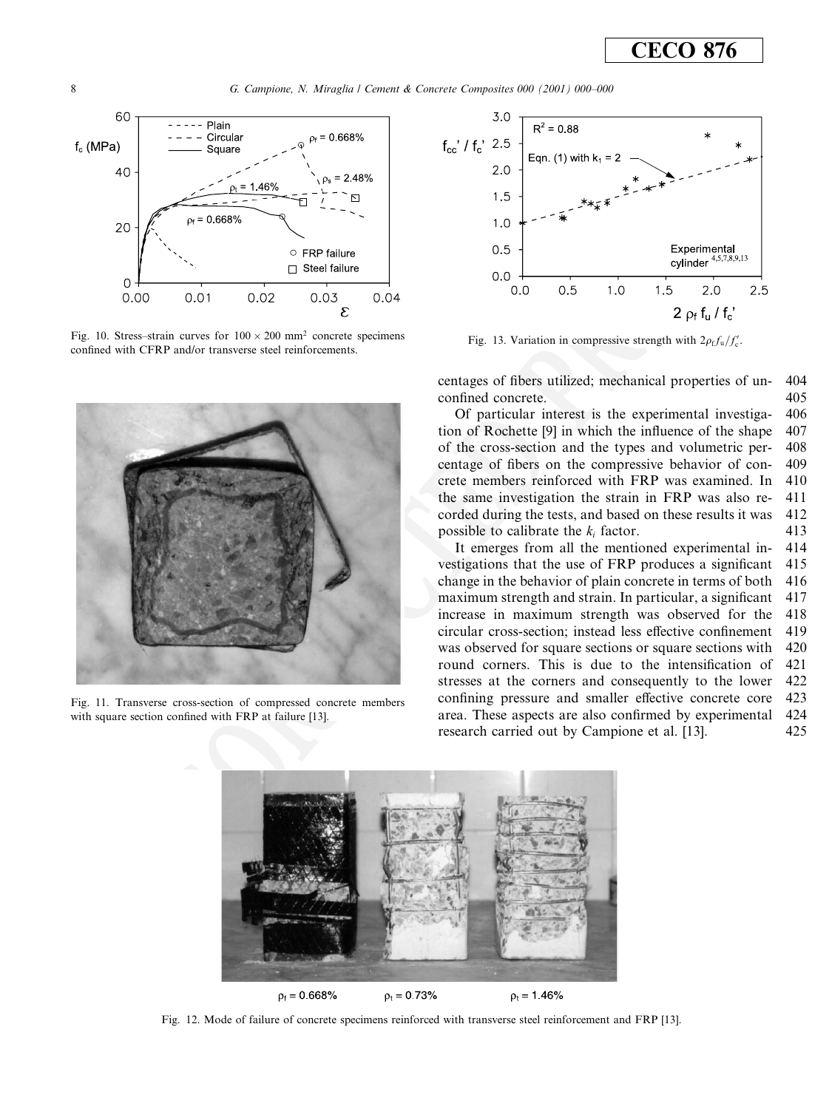

Fig. 10. Stress-strain curves for  $100 \times 200$  mm<sup>2</sup> concrete specimens confined with CFRP and/or transverse steel reinforcements.



Fig. 11. Transverse cross-section of compressed concrete members with square section confined with FRP at failure [13].



Fig. 13. Variation in compressive strength with  $2\rho_f f_u/f_c'$ .

centages of fibers utilized; mechanical properties of un-404 confined concrete. 405

Of particular interest is the experimental investiga-406 tion of Rochette [9] in which the influence of the shape 407 of the cross-section and the types and volumetric per-408 centage of fibers on the compressive behavior of con-409 crete members reinforced with FRP was examined. In 410 the same investigation the strain in FRP was also re-411 corded during the tests, and based on these results it was 412 possible to calibrate the  $k_i$  factor. 413

It emerges from all the mentioned experimental in-414 vestigations that the use of FRP produces a significant 415 change in the behavior of plain concrete in terms of both 416 maximum strength and strain. In particular, a significant 417 increase in maximum strength was observed for the 418 419 circular cross-section: instead less effective confinement was observed for square sections or square sections with 420 round corners. This is due to the intensification of 421 stresses at the corners and consequently to the lower  $422$ confining pressure and smaller effective concrete core 423 area. These aspects are also confirmed by experimental 424 research carried out by Campione et al. [13]. 425



Fig. 12. Mode of failure of concrete specimens reinforced with transverse steel reinforcement and FRP [13].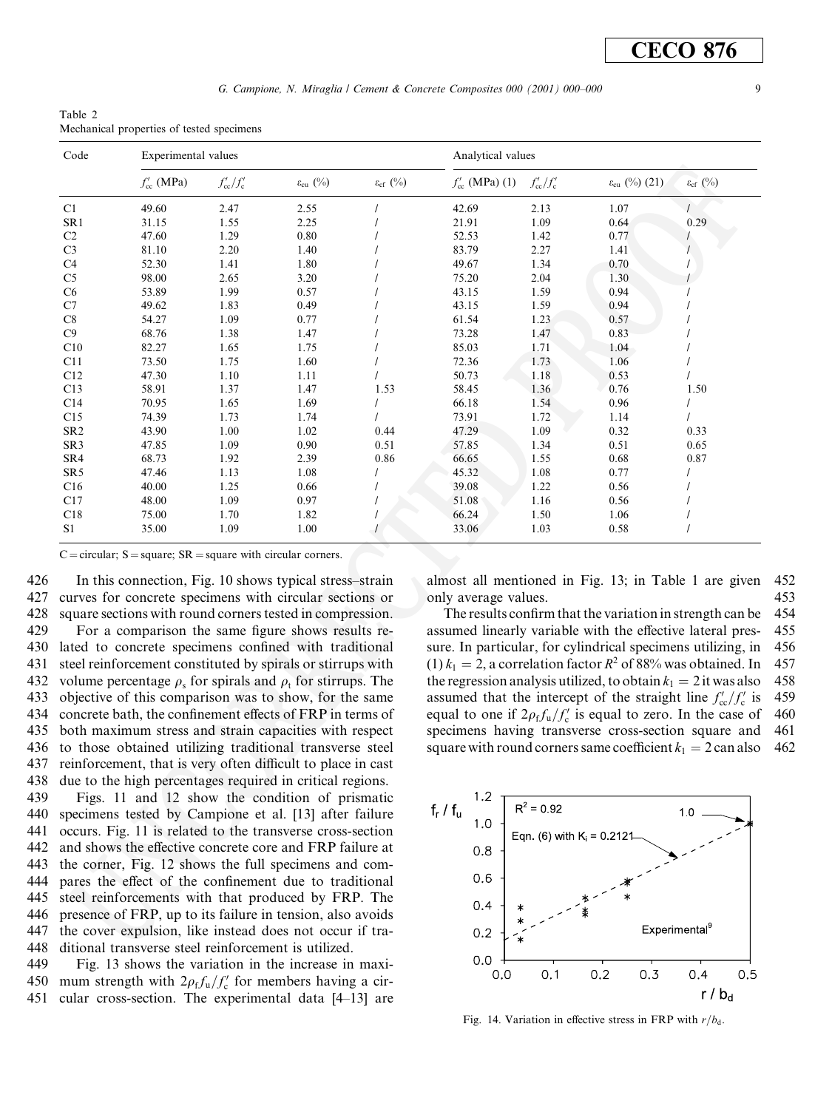Table 2 Mechanical properties of tested specimens

| Code            | Experimental values |                          |                        |                        | Analytical values   |                          |                                 |                        |
|-----------------|---------------------|--------------------------|------------------------|------------------------|---------------------|--------------------------|---------------------------------|------------------------|
|                 | $f'_{cc}$ (MPa)     | $f'_{\rm cc}/f'_{\rm c}$ | $\varepsilon_{cu}$ (%) | $\varepsilon_{cf}$ (%) | $f'_{cc}$ (MPa) (1) | $f'_{\rm cc}/f'_{\rm c}$ | $\varepsilon_{\rm cu}$ (%) (21) | $\varepsilon_{cf}$ (%) |
| C1              | 49.60               | 2.47                     | 2.55                   |                        | 42.69               | 2.13                     | 1.07                            |                        |
| SR1             | 31.15               | 1.55                     | 2.25                   |                        | 21.91               | 1.09                     | 0.64                            | 0.29                   |
| C2              | 47.60               | 1.29                     | 0.80                   |                        | 52.53               | 1.42                     | 0.77                            |                        |
| C <sub>3</sub>  | 81.10               | 2.20                     | 1.40                   |                        | 83.79               | 2.27                     | 1.41                            |                        |
| C4              | 52.30               | 1.41                     | 1.80                   |                        | 49.67               | 1.34                     | 0.70                            |                        |
| C <sub>5</sub>  | 98.00               | 2.65                     | 3.20                   |                        | 75.20               | 2.04                     | 1.30                            |                        |
| C <sub>6</sub>  | 53.89               | 1.99                     | 0.57                   |                        | 43.15               | 1.59                     | 0.94                            |                        |
| C7              | 49.62               | 1.83                     | 0.49                   |                        | 43.15               | 1.59                     | 0.94                            |                        |
| C8              | 54.27               | 1.09                     | 0.77                   |                        | 61.54               | 1.23                     | 0.57                            |                        |
| C9              | 68.76               | 1.38                     | 1.47                   |                        | 73.28               | 1.47                     | 0.83                            |                        |
| C10             | 82.27               | 1.65                     | 1.75                   |                        | 85.03               | 1.71                     | 1.04                            |                        |
| C11             | 73.50               | 1.75                     | 1.60                   |                        | 72.36               | 1.73                     | 1.06                            |                        |
| C12             | 47.30               | 1.10                     | 1.11                   |                        | 50.73               | 1.18                     | 0.53                            |                        |
| C13             | 58.91               | 1.37                     | 1.47                   | 1.53                   | 58.45               | 1.36                     | 0.76                            | 1.50                   |
| C14             | 70.95               | 1.65                     | 1.69                   |                        | 66.18               | 1.54                     | 0.96                            |                        |
| C15             | 74.39               | 1.73                     | 1.74                   |                        | 73.91               | 1.72                     | 1.14                            |                        |
| SR <sub>2</sub> | 43.90               | 1.00                     | 1.02                   | 0.44                   | 47.29               | 1.09                     | 0.32                            | 0.33                   |
| SR <sub>3</sub> | 47.85               | 1.09                     | 0.90                   | 0.51                   | 57.85               | 1.34                     | 0.51                            | 0.65                   |
| SR4             | 68.73               | 1.92                     | 2.39                   | 0.86                   | 66.65               | 1.55                     | 0.68                            | 0.87                   |
| SR <sub>5</sub> | 47.46               | 1.13                     | 1.08                   |                        | 45.32               | 1.08                     | 0.77                            |                        |
| C16             | 40.00               | 1.25                     | 0.66                   |                        | 39.08               | 1.22                     | 0.56                            |                        |
| C17             | 48.00               | 1.09                     | 0.97                   |                        | 51.08               | 1.16                     | 0.56                            |                        |
| C18             | 75.00               | 1.70                     | 1.82                   |                        | 66.24               | 1.50                     | 1.06                            |                        |
| S1              | 35.00               | 1.09                     | 1.00                   |                        | 33.06               | 1.03                     | 0.58                            |                        |

C = circular;  $S = square$ ;  $SR = square$  with circular corners.

426 In this connection, Fig. 10 shows typical stress-strain 427 curves for concrete specimens with circular sections or 428 square sections with round corners tested in compression. 429 For a comparison the same figure shows results re-430 lated to concrete specimens confined with traditional 431 steel reinforcement constituted by spirals or stirrups with 432 volume percentage  $\rho_s$  for spirals and  $\rho_t$  for stirrups. The 433 objective of this comparison was to show, for the same 434 concrete bath, the confinement effects of FRP in terms of 435 both maximum stress and strain capacities with respect 436 to those obtained utilizing traditional transverse steel 437 reinforcement, that is very often difficult to place in cast

438 due to the high percentages required in critical regions. 439 Figs. 11 and 12 show the condition of prismatic 440 specimens tested by Campione et al. [13] after failure 441 occurs. Fig. 11 is related to the transverse cross-section 442 and shows the effective concrete core and FRP failure at 443 the corner, Fig. 12 shows the full specimens and com-444 pares the effect of the confinement due to traditional 445 steel reinforcements with that produced by FRP. The 446 presence of FRP, up to its failure in tension, also avoids the cover expulsion, like instead does not occur if tra-447 448 ditional transverse steel reinforcement is utilized.

449 Fig. 13 shows the variation in the increase in maxi-450 mum strength with  $2\rho_f f_u/f_c'$  for members having a circular cross-section. The experimental data  $[4-13]$  are 451

almost all mentioned in Fig. 13; in Table 1 are given 452 only average values. 453

The results confirm that the variation in strength can be 454 assumed linearly variable with the effective lateral pres-455 sure. In particular, for cylindrical specimens utilizing, in 456  $(1) k_1 = 2$ , a correlation factor  $R^2$  of 88% was obtained. In 457 the regression analysis utilized, to obtain  $k_1 = 2$  it was also 458 assumed that the intercept of the straight line  $f'_{cc}/f'_{c}$  is 459 equal to one if  $2\rho_f f_u/f_c'$  is equal to zero. In the case of 460 461 specimens having transverse cross-section square and square with round corners same coefficient  $k_1 = 2$  can also  $462$ 



Fig. 14. Variation in effective stress in FRP with  $r/b_d$ .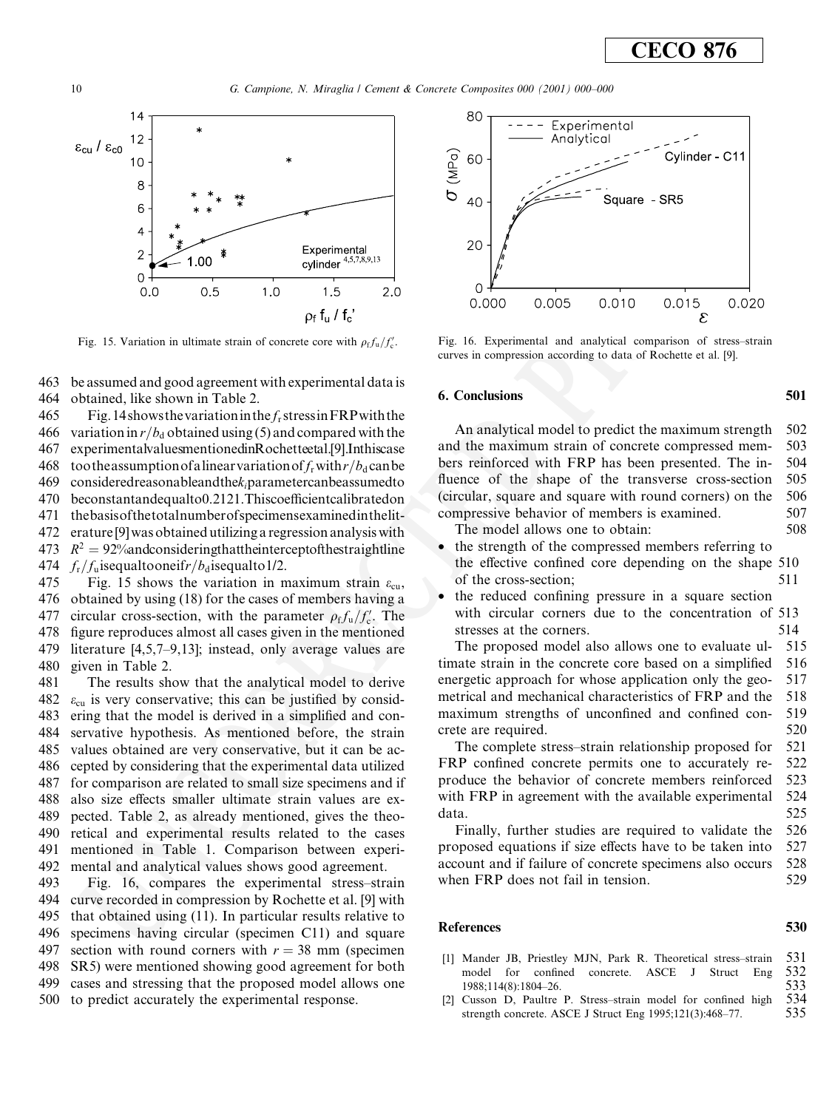

Fig. 15. Variation in ultimate strain of concrete core with  $\rho_f f_u/f_c'$ .

463 be assumed and good agreement with experimental data is 464 obtained, like shown in Table 2.

465 Fig. 14 shows the variation in the  $f_r$  stress in FRP with the 466 variation in  $r/b_d$  obtained using (5) and compared with the experimentalvaluesmentionedinRochetteetal.[9].Inthiscase 467 468 too the assumption of a linear variation of  $f_r$  with  $r/b_d$  can be 469  $considered reasonable and the k, parameter can be assumed to$ 470 beconstantandequalto0.2121.Thiscoefficientcalibratedon 471 the basis of the total number of specimens examined in the lit-472 erature [9] was obtained utilizing a regression analysis with 473  $R^2 = 92\%$ andconsideringthattheinterceptofthestraightline 474  $f_r/f_u$ isequaltooneif $r/b_d$ isequalto 1/2.

475 Fig. 15 shows the variation in maximum strain  $\varepsilon_{\text{cu}}$ , 476 obtained by using (18) for the cases of members having a 477 circular cross-section, with the parameter  $\rho_f f_u/f_c'$ . The 478 figure reproduces almost all cases given in the mentioned 479 literature  $[4,5,7-9,13]$ ; instead, only average values are 480 given in Table 2.

481 The results show that the analytical model to derive 482  $\varepsilon_{\rm cu}$  is very conservative; this can be justified by consid-483 ering that the model is derived in a simplified and con-484 servative hypothesis. As mentioned before, the strain 485 values obtained are very conservative, but it can be ac-486 cepted by considering that the experimental data utilized 487 for comparison are related to small size specimens and if 488 also size effects smaller ultimate strain values are ex-489 pected. Table 2, as already mentioned, gives the theo-490 retical and experimental results related to the cases 491 mentioned in Table 1. Comparison between experi-492 mental and analytical values shows good agreement.

493 Fig. 16, compares the experimental stress-strain 494 curve recorded in compression by Rochette et al. [9] with 495 that obtained using (11). In particular results relative to 496 specimens having circular (specimen C11) and square section with round corners with  $r = 38$  mm (specimen 497 SR5) were mentioned showing good agreement for both 498 499 cases and stressing that the proposed model allows one 500 to predict accurately the experimental response.



Fig. 16. Experimental and analytical comparison of stress-strain curves in compression according to data of Rochette et al. [9].

#### **6. Conclusions**

An analytical model to predict the maximum strength 502 and the maximum strain of concrete compressed mem-503 bers reinforced with FRP has been presented. The in-504 fluence of the shape of the transverse cross-section 505 (circular, square and square with round corners) on the 506 compressive behavior of members is examined. 507 508

The model allows one to obtain:

- the strength of the compressed members referring to the effective confined core depending on the shape 510 of the cross-section; 511
- the reduced confining pressure in a square section  $\bullet$ with circular corners due to the concentration of 513 stresses at the corners. 514

The proposed model also allows one to evaluate ul-515 timate strain in the concrete core based on a simplified 516 energetic approach for whose application only the geo-517 metrical and mechanical characteristics of FRP and the 518 maximum strengths of unconfined and confined con-519 520 crete are required.

The complete stress–strain relationship proposed for 521 522 FRP confined concrete permits one to accurately reproduce the behavior of concrete members reinforced 523 with FRP in agreement with the available experimental 524 525 data.

526 Finally, further studies are required to validate the proposed equations if size effects have to be taken into 527 account and if failure of concrete specimens also occurs 528 when FRP does not fail in tension. 529

### **References**

- [1] Mander JB, Priestley MJN, Park R. Theoretical stress-strain 531 Eng model for confined concrete. ASCE  $\mathbf{I}$ Struct 532 533 1988:114(8):1804-26. 534
- [2] Cusson D, Paultre P. Stress-strain model for confined high 535 strength concrete. ASCE J Struct Eng 1995;121(3):468-77.

501